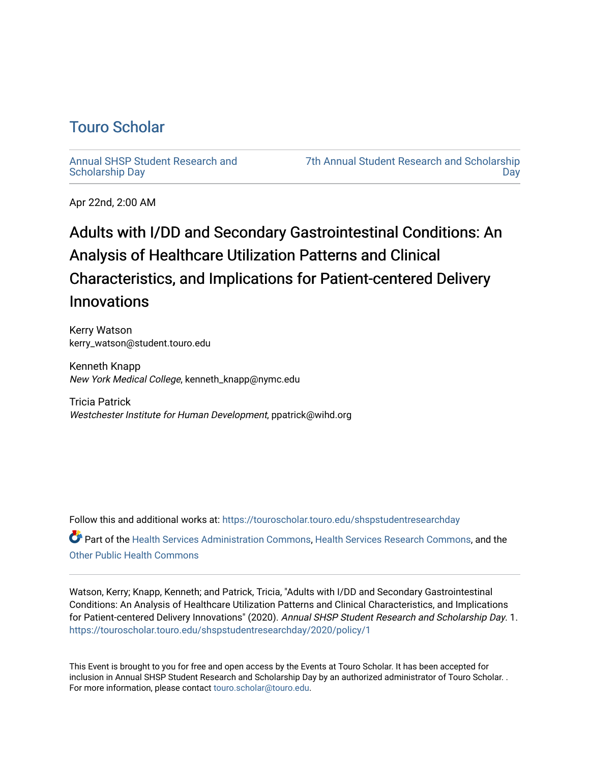## [Touro Scholar](https://touroscholar.touro.edu/)

[Annual SHSP Student Research and](https://touroscholar.touro.edu/shspstudentresearchday) [Scholarship Day](https://touroscholar.touro.edu/shspstudentresearchday) 

[7th Annual Student Research and Scholarship](https://touroscholar.touro.edu/shspstudentresearchday/2020)  [Day](https://touroscholar.touro.edu/shspstudentresearchday/2020) 

Apr 22nd, 2:00 AM

## Adults with I/DD and Secondary Gastrointestinal Conditions: An Analysis of Healthcare Utilization Patterns and Clinical Characteristics, and Implications for Patient-centered Delivery Innovations

Kerry Watson kerry\_watson@student.touro.edu

Kenneth Knapp New York Medical College, kenneth\_knapp@nymc.edu

Tricia Patrick Westchester Institute for Human Development, ppatrick@wihd.org

Follow this and additional works at: [https://touroscholar.touro.edu/shspstudentresearchday](https://touroscholar.touro.edu/shspstudentresearchday?utm_source=touroscholar.touro.edu%2Fshspstudentresearchday%2F2020%2Fpolicy%2F1&utm_medium=PDF&utm_campaign=PDFCoverPages) Part of the [Health Services Administration Commons,](http://network.bepress.com/hgg/discipline/747?utm_source=touroscholar.touro.edu%2Fshspstudentresearchday%2F2020%2Fpolicy%2F1&utm_medium=PDF&utm_campaign=PDFCoverPages) [Health Services Research Commons,](http://network.bepress.com/hgg/discipline/816?utm_source=touroscholar.touro.edu%2Fshspstudentresearchday%2F2020%2Fpolicy%2F1&utm_medium=PDF&utm_campaign=PDFCoverPages) and the [Other Public Health Commons](http://network.bepress.com/hgg/discipline/748?utm_source=touroscholar.touro.edu%2Fshspstudentresearchday%2F2020%2Fpolicy%2F1&utm_medium=PDF&utm_campaign=PDFCoverPages)

Watson, Kerry; Knapp, Kenneth; and Patrick, Tricia, "Adults with I/DD and Secondary Gastrointestinal Conditions: An Analysis of Healthcare Utilization Patterns and Clinical Characteristics, and Implications for Patient-centered Delivery Innovations" (2020). Annual SHSP Student Research and Scholarship Day. 1. [https://touroscholar.touro.edu/shspstudentresearchday/2020/policy/1](https://touroscholar.touro.edu/shspstudentresearchday/2020/policy/1?utm_source=touroscholar.touro.edu%2Fshspstudentresearchday%2F2020%2Fpolicy%2F1&utm_medium=PDF&utm_campaign=PDFCoverPages)

This Event is brought to you for free and open access by the Events at Touro Scholar. It has been accepted for inclusion in Annual SHSP Student Research and Scholarship Day by an authorized administrator of Touro Scholar. . For more information, please contact [touro.scholar@touro.edu](mailto:touro.scholar@touro.edu).